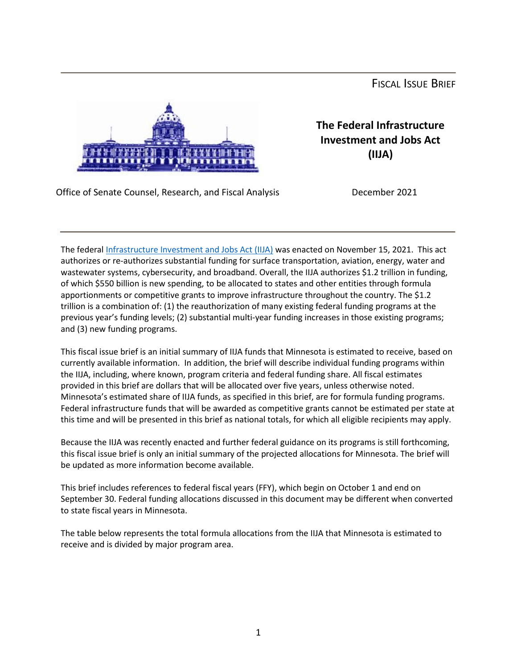FISCAL ISSUE BRIEF



**The Federal Infrastructure Investment and Jobs Act (IIJA)**

Office of Senate Counsel, Research, and Fiscal Analysis December 2021

The federal [Infrastructure Investment and Jobs Act \(IIJA\)](https://www.fhwa.dot.gov/bipartisan-infrastructure-law/) was enacted on November 15, 2021. This act authorizes or re-authorizes substantial funding for surface transportation, aviation, energy, water and wastewater systems, cybersecurity, and broadband. Overall, the IIJA authorizes \$1.2 trillion in funding, of which \$550 billion is new spending, to be allocated to states and other entities through formula apportionments or competitive grants to improve infrastructure throughout the country. The \$1.2 trillion is a combination of: (1) the reauthorization of many existing federal funding programs at the previous year's funding levels; (2) substantial multi-year funding increases in those existing programs; and (3) new funding programs.

This fiscal issue brief is an initial summary of IIJA funds that Minnesota is estimated to receive, based on currently available information. In addition, the brief will describe individual funding programs within the IIJA, including, where known, program criteria and federal funding share. All fiscal estimates provided in this brief are dollars that will be allocated over five years, unless otherwise noted. Minnesota's estimated share of IIJA funds, as specified in this brief, are for formula funding programs. Federal infrastructure funds that will be awarded as competitive grants cannot be estimated per state at this time and will be presented in this brief as national totals, for which all eligible recipients may apply.

Because the IIJA was recently enacted and further federal guidance on its programs is still forthcoming, this fiscal issue brief is only an initial summary of the projected allocations for Minnesota. The brief will be updated as more information become available.

This brief includes references to federal fiscal years (FFY), which begin on October 1 and end on September 30. Federal funding allocations discussed in this document may be different when converted to state fiscal years in Minnesota.

The table below represents the total formula allocations from the IIJA that Minnesota is estimated to receive and is divided by major program area.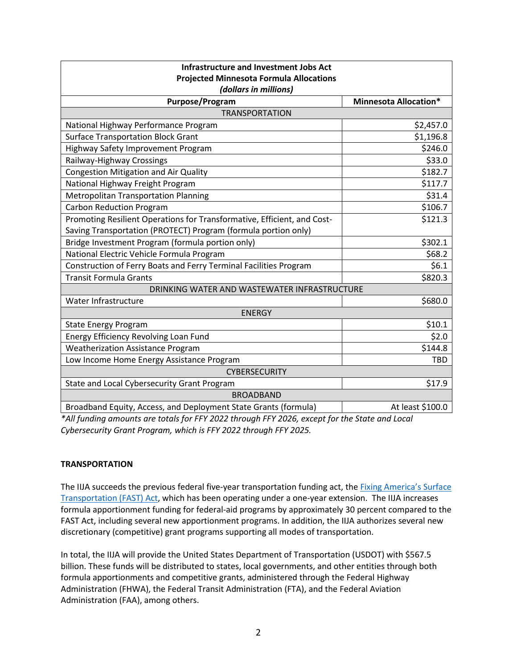| <b>Infrastructure and Investment Jobs Act</b>                           |                              |
|-------------------------------------------------------------------------|------------------------------|
| <b>Projected Minnesota Formula Allocations</b>                          |                              |
| (dollars in millions)                                                   |                              |
| Purpose/Program                                                         | <b>Minnesota Allocation*</b> |
| <b>TRANSPORTATION</b>                                                   |                              |
| National Highway Performance Program                                    | \$2,457.0                    |
| <b>Surface Transportation Block Grant</b>                               | \$1,196.8                    |
| Highway Safety Improvement Program                                      | \$246.0                      |
| Railway-Highway Crossings                                               | \$33.0                       |
| <b>Congestion Mitigation and Air Quality</b>                            | \$182.7                      |
| National Highway Freight Program                                        | \$117.7                      |
| <b>Metropolitan Transportation Planning</b>                             | \$31.4                       |
| <b>Carbon Reduction Program</b>                                         | \$106.7                      |
| Promoting Resilient Operations for Transformative, Efficient, and Cost- | \$121.3                      |
| Saving Transportation (PROTECT) Program (formula portion only)          |                              |
| Bridge Investment Program (formula portion only)                        | \$302.1                      |
| National Electric Vehicle Formula Program                               | \$68.2                       |
| Construction of Ferry Boats and Ferry Terminal Facilities Program       | \$6.1                        |
| <b>Transit Formula Grants</b>                                           | \$820.3                      |
| DRINKING WATER AND WASTEWATER INFRASTRUCTURE                            |                              |
| Water Infrastructure                                                    | \$680.0                      |
| <b>ENERGY</b>                                                           |                              |
| <b>State Energy Program</b>                                             | \$10.1                       |
| Energy Efficiency Revolving Loan Fund                                   | \$2.0                        |
| <b>Weatherization Assistance Program</b>                                | \$144.8                      |
| Low Income Home Energy Assistance Program                               | <b>TBD</b>                   |
| <b>CYBERSECURITY</b>                                                    |                              |
| State and Local Cybersecurity Grant Program                             | \$17.9                       |
| <b>BROADBAND</b>                                                        |                              |
| Broadband Equity, Access, and Deployment State Grants (formula)         | At least \$100.0             |

*\*All funding amounts are totals for FFY 2022 through FFY 2026, except for the State and Local Cybersecurity Grant Program, which is FFY 2022 through FFY 2025.*

## **TRANSPORTATION**

The IIJA succeeds the previous federal five-year transportation funding act, the [Fixing America's Surface](https://www.fhwa.dot.gov/fastact/)  [Transportation \(FAST\) Act,](https://www.fhwa.dot.gov/fastact/) which has been operating under a one-year extension. The IIJA increases formula apportionment funding for federal-aid programs by approximately 30 percent compared to the FAST Act, including several new apportionment programs. In addition, the IIJA authorizes several new discretionary (competitive) grant programs supporting all modes of transportation.

In total, the IIJA will provide the United States Department of Transportation (USDOT) with \$567.5 billion. These funds will be distributed to states, local governments, and other entities through both formula apportionments and competitive grants, administered through the Federal Highway Administration (FHWA), the Federal Transit Administration (FTA), and the Federal Aviation Administration (FAA), among others.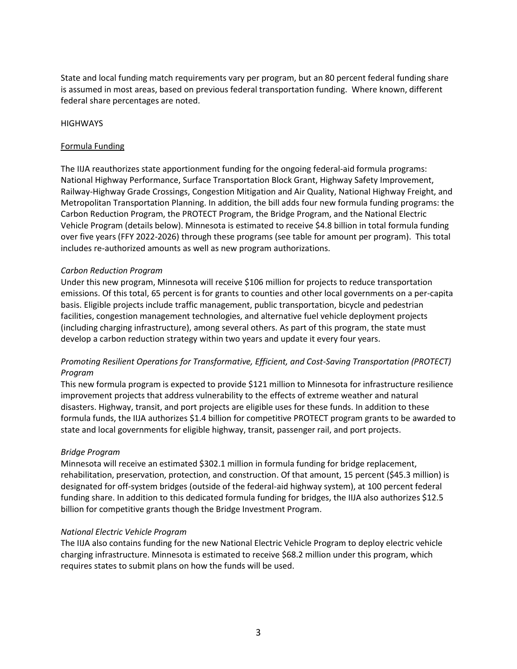State and local funding match requirements vary per program, but an 80 percent federal funding share is assumed in most areas, based on previous federal transportation funding. Where known, different federal share percentages are noted.

#### **HIGHWAYS**

#### Formula Funding

The IIJA reauthorizes state apportionment funding for the ongoing federal-aid formula programs: National Highway Performance, Surface Transportation Block Grant, Highway Safety Improvement, Railway-Highway Grade Crossings, Congestion Mitigation and Air Quality, National Highway Freight, and Metropolitan Transportation Planning. In addition, the bill adds four new formula funding programs: the Carbon Reduction Program, the PROTECT Program, the Bridge Program, and the National Electric Vehicle Program (details below). Minnesota is estimated to receive \$4.8 billion in total formula funding over five years (FFY 2022-2026) through these programs (see table for amount per program). This total includes re-authorized amounts as well as new program authorizations.

#### *Carbon Reduction Program*

Under this new program, Minnesota will receive \$106 million for projects to reduce transportation emissions. Of this total, 65 percent is for grants to counties and other local governments on a per-capita basis. Eligible projects include traffic management, public transportation, bicycle and pedestrian facilities, congestion management technologies, and alternative fuel vehicle deployment projects (including charging infrastructure), among several others. As part of this program, the state must develop a carbon reduction strategy within two years and update it every four years.

# *Promoting Resilient Operations for Transformative, Efficient, and Cost-Saving Transportation (PROTECT) Program*

This new formula program is expected to provide \$121 million to Minnesota for infrastructure resilience improvement projects that address vulnerability to the effects of extreme weather and natural disasters. Highway, transit, and port projects are eligible uses for these funds. In addition to these formula funds, the IIJA authorizes \$1.4 billion for competitive PROTECT program grants to be awarded to state and local governments for eligible highway, transit, passenger rail, and port projects.

## *Bridge Program*

Minnesota will receive an estimated \$302.1 million in formula funding for bridge replacement, rehabilitation, preservation, protection, and construction. Of that amount, 15 percent (\$45.3 million) is designated for off-system bridges (outside of the federal-aid highway system), at 100 percent federal funding share. In addition to this dedicated formula funding for bridges, the IIJA also authorizes \$12.5 billion for competitive grants though the Bridge Investment Program.

#### *National Electric Vehicle Program*

The IIJA also contains funding for the new National Electric Vehicle Program to deploy electric vehicle charging infrastructure. Minnesota is estimated to receive \$68.2 million under this program, which requires states to submit plans on how the funds will be used.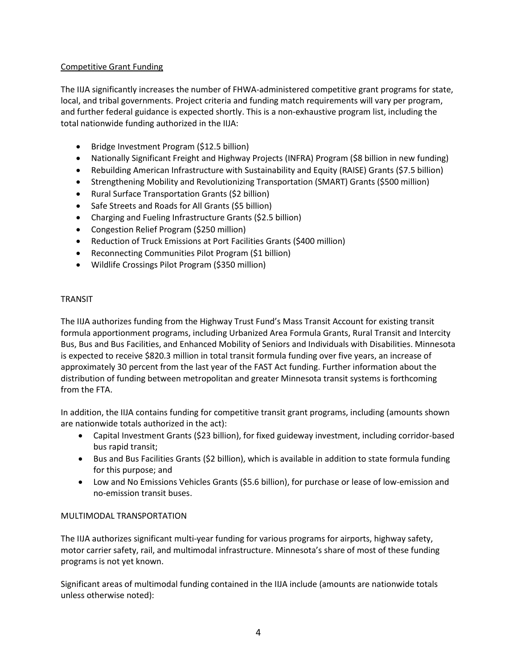# Competitive Grant Funding

The IIJA significantly increases the number of FHWA-administered competitive grant programs for state, local, and tribal governments. Project criteria and funding match requirements will vary per program, and further federal guidance is expected shortly. This is a non-exhaustive program list, including the total nationwide funding authorized in the IIJA:

- Bridge Investment Program (\$12.5 billion)
- Nationally Significant Freight and Highway Projects (INFRA) Program (\$8 billion in new funding)
- Rebuilding American Infrastructure with Sustainability and Equity (RAISE) Grants (\$7.5 billion)
- Strengthening Mobility and Revolutionizing Transportation (SMART) Grants (\$500 million)
- Rural Surface Transportation Grants (\$2 billion)
- Safe Streets and Roads for All Grants (\$5 billion)
- Charging and Fueling Infrastructure Grants (\$2.5 billion)
- Congestion Relief Program (\$250 million)
- Reduction of Truck Emissions at Port Facilities Grants (\$400 million)
- Reconnecting Communities Pilot Program (\$1 billion)
- Wildlife Crossings Pilot Program (\$350 million)

## TRANSIT

The IIJA authorizes funding from the Highway Trust Fund's Mass Transit Account for existing transit formula apportionment programs, including Urbanized Area Formula Grants, Rural Transit and Intercity Bus, Bus and Bus Facilities, and Enhanced Mobility of Seniors and Individuals with Disabilities. Minnesota is expected to receive \$820.3 million in total transit formula funding over five years, an increase of approximately 30 percent from the last year of the FAST Act funding. Further information about the distribution of funding between metropolitan and greater Minnesota transit systems is forthcoming from the FTA.

In addition, the IIJA contains funding for competitive transit grant programs, including (amounts shown are nationwide totals authorized in the act):

- Capital Investment Grants (\$23 billion), for fixed guideway investment, including corridor-based bus rapid transit;
- Bus and Bus Facilities Grants (\$2 billion), which is available in addition to state formula funding for this purpose; and
- Low and No Emissions Vehicles Grants (\$5.6 billion), for purchase or lease of low-emission and no-emission transit buses.

## MULTIMODAL TRANSPORTATION

The IIJA authorizes significant multi-year funding for various programs for airports, highway safety, motor carrier safety, rail, and multimodal infrastructure. Minnesota's share of most of these funding programs is not yet known.

Significant areas of multimodal funding contained in the IIJA include (amounts are nationwide totals unless otherwise noted):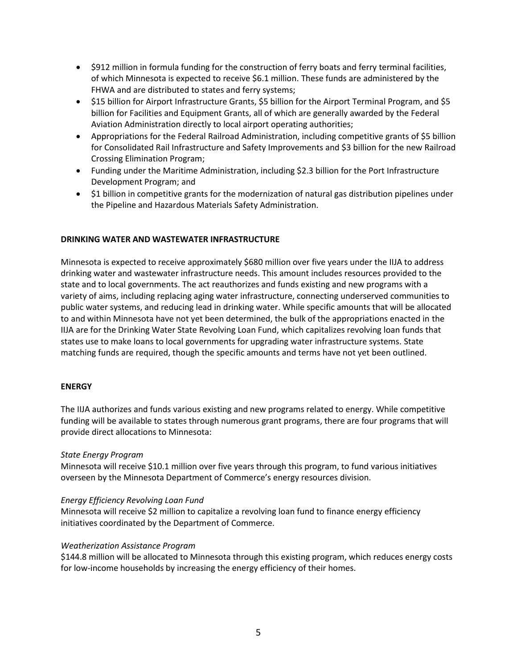- \$912 million in formula funding for the construction of ferry boats and ferry terminal facilities, of which Minnesota is expected to receive \$6.1 million. These funds are administered by the FHWA and are distributed to states and ferry systems;
- \$15 billion for Airport Infrastructure Grants, \$5 billion for the Airport Terminal Program, and \$5 billion for Facilities and Equipment Grants, all of which are generally awarded by the Federal Aviation Administration directly to local airport operating authorities;
- Appropriations for the Federal Railroad Administration, including competitive grants of \$5 billion for Consolidated Rail Infrastructure and Safety Improvements and \$3 billion for the new Railroad Crossing Elimination Program;
- Funding under the Maritime Administration, including \$2.3 billion for the Port Infrastructure Development Program; and
- \$1 billion in competitive grants for the modernization of natural gas distribution pipelines under the Pipeline and Hazardous Materials Safety Administration.

## **DRINKING WATER AND WASTEWATER INFRASTRUCTURE**

Minnesota is expected to receive approximately \$680 million over five years under the IIJA to address drinking water and wastewater infrastructure needs. This amount includes resources provided to the state and to local governments. The act reauthorizes and funds existing and new programs with a variety of aims, including replacing aging water infrastructure, connecting underserved communities to public water systems, and reducing lead in drinking water. While specific amounts that will be allocated to and within Minnesota have not yet been determined, the bulk of the appropriations enacted in the IIJA are for the Drinking Water State Revolving Loan Fund, which capitalizes revolving loan funds that states use to make loans to local governments for upgrading water infrastructure systems. State matching funds are required, though the specific amounts and terms have not yet been outlined.

## **ENERGY**

The IIJA authorizes and funds various existing and new programs related to energy. While competitive funding will be available to states through numerous grant programs, there are four programs that will provide direct allocations to Minnesota:

## *State Energy Program*

Minnesota will receive \$10.1 million over five years through this program, to fund various initiatives overseen by the Minnesota Department of Commerce's energy resources division.

## *Energy Efficiency Revolving Loan Fund*

Minnesota will receive \$2 million to capitalize a revolving loan fund to finance energy efficiency initiatives coordinated by the Department of Commerce.

## *Weatherization Assistance Program*

\$144.8 million will be allocated to Minnesota through this existing program, which reduces energy costs for low-income households by increasing the energy efficiency of their homes.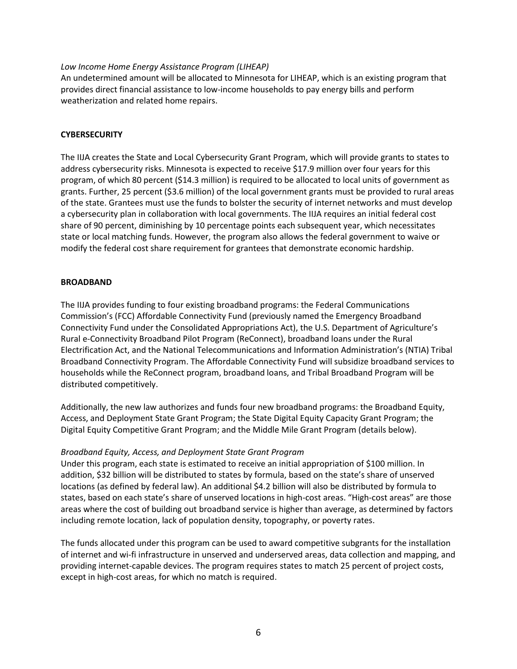#### *Low Income Home Energy Assistance Program (LIHEAP)*

An undetermined amount will be allocated to Minnesota for LIHEAP, which is an existing program that provides direct financial assistance to low-income households to pay energy bills and perform weatherization and related home repairs.

#### **CYBERSECURITY**

The IIJA creates the State and Local Cybersecurity Grant Program, which will provide grants to states to address cybersecurity risks. Minnesota is expected to receive \$17.9 million over four years for this program, of which 80 percent (\$14.3 million) is required to be allocated to local units of government as grants. Further, 25 percent (\$3.6 million) of the local government grants must be provided to rural areas of the state. Grantees must use the funds to bolster the security of internet networks and must develop a cybersecurity plan in collaboration with local governments. The IIJA requires an initial federal cost share of 90 percent, diminishing by 10 percentage points each subsequent year, which necessitates state or local matching funds. However, the program also allows the federal government to waive or modify the federal cost share requirement for grantees that demonstrate economic hardship.

#### **BROADBAND**

The IIJA provides funding to four existing broadband programs: the Federal Communications Commission's (FCC) Affordable Connectivity Fund (previously named the Emergency Broadband Connectivity Fund under the Consolidated Appropriations Act), the U.S. Department of Agriculture's Rural e-Connectivity Broadband Pilot Program (ReConnect), broadband loans under the Rural Electrification Act, and the National Telecommunications and Information Administration's (NTIA) Tribal Broadband Connectivity Program. The Affordable Connectivity Fund will subsidize broadband services to households while the ReConnect program, broadband loans, and Tribal Broadband Program will be distributed competitively.

Additionally, the new law authorizes and funds four new broadband programs: the Broadband Equity, Access, and Deployment State Grant Program; the State Digital Equity Capacity Grant Program; the Digital Equity Competitive Grant Program; and the Middle Mile Grant Program (details below).

## *Broadband Equity, Access, and Deployment State Grant Program*

Under this program, each state is estimated to receive an initial appropriation of \$100 million. In addition, \$32 billion will be distributed to states by formula, based on the state's share of unserved locations (as defined by federal law). An additional \$4.2 billion will also be distributed by formula to states, based on each state's share of unserved locations in high-cost areas. "High-cost areas" are those areas where the cost of building out broadband service is higher than average, as determined by factors including remote location, lack of population density, topography, or poverty rates.

The funds allocated under this program can be used to award competitive subgrants for the installation of internet and wi-fi infrastructure in unserved and underserved areas, data collection and mapping, and providing internet-capable devices. The program requires states to match 25 percent of project costs, except in high-cost areas, for which no match is required.